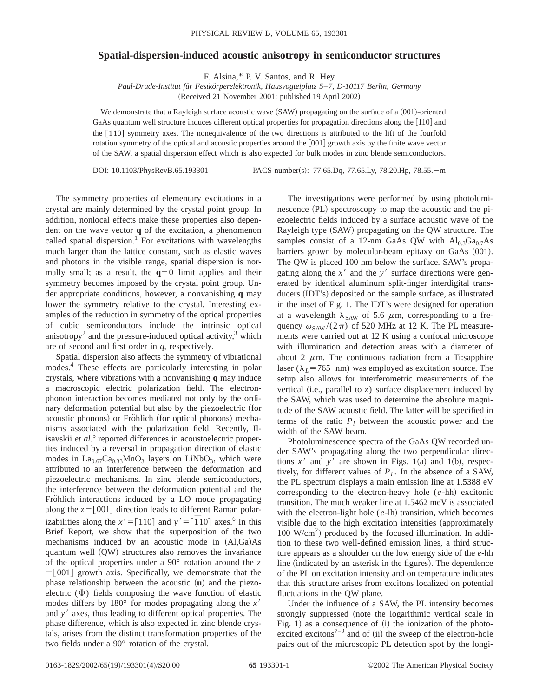## **Spatial-dispersion-induced acoustic anisotropy in semiconductor structures**

F. Alsina,\* P. V. Santos, and R. Hey

*Paul-Drude-Institut fu¨r Festko¨rperelektronik, Hausvogteiplatz 5*–*7, D-10117 Berlin, Germany*

(Received 21 November 2001; published 19 April 2002)

We demonstrate that a Rayleigh surface acoustic wave  $(SAW)$  propagating on the surface of a  $(001)$ -oriented GaAs quantum well structure induces different optical properties for propagation directions along the [110] and the  $\overline{[1\ 10]}$  symmetry axes. The nonequivalence of the two directions is attributed to the lift of the fourfold rotation symmetry of the optical and acoustic properties around the  $[001]$  growth axis by the finite wave vector of the SAW, a spatial dispersion effect which is also expected for bulk modes in zinc blende semiconductors.

DOI: 10.1103/PhysRevB.65.193301 PACS number(s): 77.65.Dq, 77.65.Ly, 78.20.Hp, 78.55.-m

The symmetry properties of elementary excitations in a crystal are mainly determined by the crystal point group. In addition, nonlocal effects make these properties also dependent on the wave vector **q** of the excitation, a phenomenon called spatial dispersion.<sup>1</sup> For excitations with wavelengths much larger than the lattice constant, such as elastic waves and photons in the visible range, spatial dispersion is normally small; as a result, the  $q=0$  limit applies and their symmetry becomes imposed by the crystal point group. Under appropriate conditions, however, a nonvanishing **q** may lower the symmetry relative to the crystal. Interesting examples of the reduction in symmetry of the optical properties of cubic semiconductors include the intrinsic optical anisotropy<sup>2</sup> and the pressure-induced optical activity,<sup>3</sup> which are of second and first order in *q*, respectively.

Spatial dispersion also affects the symmetry of vibrational modes.<sup>4</sup> These effects are particularly interesting in polar crystals, where vibrations with a nonvanishing **q** may induce a macroscopic electric polarization field. The electronphonon interaction becomes mediated not only by the ordinary deformation potential but also by the piezoelectric (for acoustic phonons) or Fröhlich (for optical phonons) mechanisms associated with the polarization field. Recently, Ilisavskii *et al.*<sup>3</sup> reported differences in acoustoelectric properties induced by a reversal in propagation direction of elastic modes in  $La_{0.67}Ca_{0.33}MnO_3$  layers on LiNbO<sub>3</sub>, which were attributed to an interference between the deformation and piezoelectric mechanisms. In zinc blende semiconductors, the interference between the deformation potential and the Fröhlich interactions induced by a LO mode propagating along the  $z=[001]$  direction leads to different Raman polarizabilities along the  $x' = [110]$  and  $y' = [\overline{1}10]$  axes.<sup>6</sup> In this Brief Report, we show that the superposition of the two mechanisms induced by an acoustic mode in  $(A1,Ga)As$ quantum well  $(QW)$  structures also removes the invariance of the optical properties under a 90° rotation around the *z*  $=$ [001] growth axis. Specifically, we demonstrate that the phase relationship between the acoustic  $(\mathbf{u})$  and the piezoelectric  $(\Phi)$  fields composing the wave function of elastic modes differs by  $180^\circ$  for modes propagating along the  $x<sup>8</sup>$ and *y*<sup> $\prime$ </sup> axes, thus leading to different optical properties. The phase difference, which is also expected in zinc blende crystals, arises from the distinct transformation properties of the two fields under a 90° rotation of the crystal.

The investigations were performed by using photoluminescence  $(PL)$  spectroscopy to map the acoustic and the piezoelectric fields induced by a surface acoustic wave of the Rayleigh type (SAW) propagating on the QW structure. The samples consist of a 12-nm GaAs QW with  $Al_{0.3}Ga_{0.7}As$ barriers grown by molecular-beam epitaxy on GaAs (001). The QW is placed 100 nm below the surface. SAW's propagating along the  $x<sup>3</sup>$  and the  $y<sup>3</sup>$  surface directions were generated by identical aluminum split-finger interdigital transducers (IDT's) deposited on the sample surface, as illustrated in the inset of Fig. 1. The IDT's were designed for operation at a wavelength  $\lambda_{SAW}$  of 5.6  $\mu$ m, corresponding to a frequency  $\omega_{SAW}$ /(2 $\pi$ ) of 520 MHz at 12 K. The PL measurements were carried out at 12 K using a confocal microscope with illumination and detection areas with a diameter of about 2  $\mu$ m. The continuous radiation from a Ti:sapphire laser ( $\lambda_L$ =765 nm) was employed as excitation source. The setup also allows for interferometric measurements of the vertical (i.e., parallel to  $z$ ) surface displacement induced by the SAW, which was used to determine the absolute magnitude of the SAW acoustic field. The latter will be specified in terms of the ratio  $P_l$  between the acoustic power and the width of the SAW beam.

Photoluminescence spectra of the GaAs QW recorded under SAW's propagating along the two perpendicular directions  $x<sup>3</sup>$  and  $y<sup>3</sup>$  are shown in Figs. 1(a) and 1(b), respectively, for different values of  $P_l$ . In the absence of a SAW, the PL spectrum displays a main emission line at 1.5388 eV corresponding to the electron-heavy hole  $(e-hh)$  excitonic transition. The much weaker line at 1.5462 meV is associated with the electron-light hole  $(e$ -lh) transition, which becomes visible due to the high excitation intensities (approximately  $100 \text{ W/cm}^2$ ) produced by the focused illumination. In addition to these two well-defined emission lines, a third structure appears as a shoulder on the low energy side of the *e*-hh line (indicated by an asterisk in the figures). The dependence of the PL on excitation intensity and on temperature indicates that this structure arises from excitons localized on potential fluctuations in the QW plane.

Under the influence of a SAW, the PL intensity becomes strongly suppressed (note the logarithmic vertical scale in Fig. 1) as a consequence of  $(i)$  the ionization of the photoexcited excitons<sup>7–9</sup> and of  $(ii)$  the sweep of the electron-hole pairs out of the microscopic PL detection spot by the longi-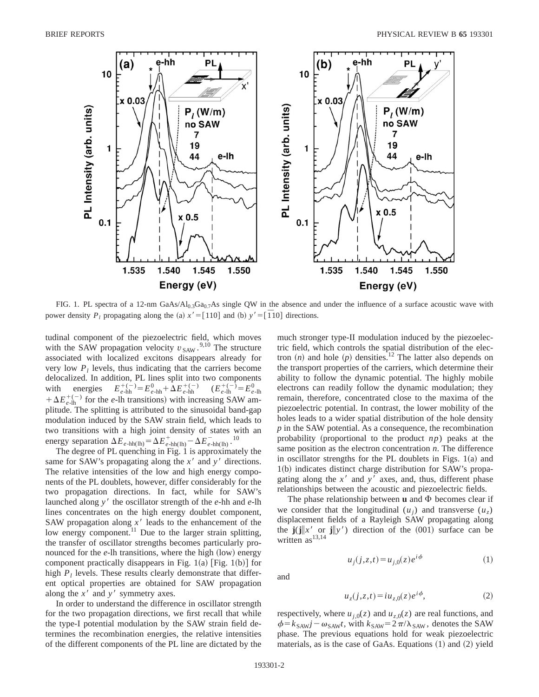

FIG. 1. PL spectra of a 12-nm GaAs/ $Al_{0.3}Ga_{0.7}As$  single QW in the absence and under the influence of a surface acoustic wave with power density  $P_l$  propagating along the (a)  $x' = [110]$  and (b)  $y' = [\overline{1}10]$  directions.

tudinal component of the piezoelectric field, which moves with the SAW propagation velocity  $v_{\text{SAW}}$ .<sup>9,10</sup> The structure associated with localized excitons disappears already for very low  $P_l$  levels, thus indicating that the carriers become delocalized. In addition, PL lines split into two components with energies  $E_{e-\text{hh}}^{+(-)} = E_{e-\text{hh}}^{0} + \Delta E_{e-\text{hh}}^{+(-)}$   $(E_{e-\text{lh}}^{+(-)} = E_{e-\text{lh}}^{0}$  $+\Delta E_{e\text{-lh}}^{+(-)}$  for the *e*-lh transitions) with increasing SAW amplitude. The splitting is attributed to the sinusoidal band-gap modulation induced by the SAW strain field, which leads to two transitions with a high joint density of states with an energy separation  $\Delta E_{e-\text{hh(lh)}} = \Delta E_{e-\text{hh(lh)}}^+ - \Delta E_{e-\text{hh(lh)}}^-$ .<sup>10</sup>

The degree of PL quenching in Fig. 1 is approximately the same for SAW's propagating along the  $x<sup>3</sup>$  and  $y<sup>4</sup>$  directions. The relative intensities of the low and high energy components of the PL doublets, however, differ considerably for the two propagation directions. In fact, while for SAW's launched along *y*<sup>'</sup> the oscillator strength of the *e*-hh and *e*-lh lines concentrates on the high energy doublet component, SAW propagation along  $x<sup>3</sup>$  leads to the enhancement of the low energy component.<sup>11</sup> Due to the larger strain splitting, the transfer of oscillator strengths becomes particularly pronounced for the  $e$ -lh transitions, where the high  $(low)$  energy component practically disappears in Fig. 1(a) [Fig. 1(b)] for high  $P_l$  levels. These results clearly demonstrate that different optical properties are obtained for SAW propagation along the  $x^{\prime}$  and  $y^{\prime}$  symmetry axes.

In order to understand the difference in oscillator strength for the two propagation directions, we first recall that while the type-I potential modulation by the SAW strain field determines the recombination energies, the relative intensities of the different components of the PL line are dictated by the

much stronger type-II modulation induced by the piezoelectric field, which controls the spatial distribution of the electron  $(n)$  and hole  $(p)$  densities.<sup>12</sup> The latter also depends on the transport properties of the carriers, which determine their ability to follow the dynamic potential. The highly mobile electrons can readily follow the dynamic modulation; they remain, therefore, concentrated close to the maxima of the piezoelectric potential. In contrast, the lower mobility of the holes leads to a wider spatial distribution of the hole density *p* in the SAW potential. As a consequence, the recombination probability (proportional to the product  $np$ ) peaks at the same position as the electron concentration *n*. The difference in oscillator strengths for the PL doublets in Figs.  $1(a)$  and  $1(b)$  indicates distinct charge distribution for SAW's propagating along the  $x<sup>3</sup>$  and  $y<sup>3</sup>$  axes, and, thus, different phase relationships between the acoustic and piezoelectric fields.

The phase relationship between  $\bf{u}$  and  $\Phi$  becomes clear if we consider that the longitudinal  $(u_i)$  and transverse  $(u_i)$ displacement fields of a Rayleigh SAW propagating along the  $\mathbf{j}(\mathbf{j}||x' \text{ or } \mathbf{j}||y')$  direction of the (001) surface can be written  $as^{13,14}$ 

$$
u_j(j, z, t) = u_{j,0}(z)e^{i\phi}
$$
 (1)

and

$$
u_z(j, z, t) = i u_{z,0}(z) e^{i\phi}, \tag{2}
$$

respectively, where  $u_{j,0}(z)$  and  $u_{z,0}(z)$  are real functions, and  $\phi = k_{SAW}j - \omega_{SAW}t$ , with  $k_{SAW} = 2\pi/\lambda_{SAW}$ , denotes the SAW phase. The previous equations hold for weak piezoelectric materials, as is the case of GaAs. Equations  $(1)$  and  $(2)$  yield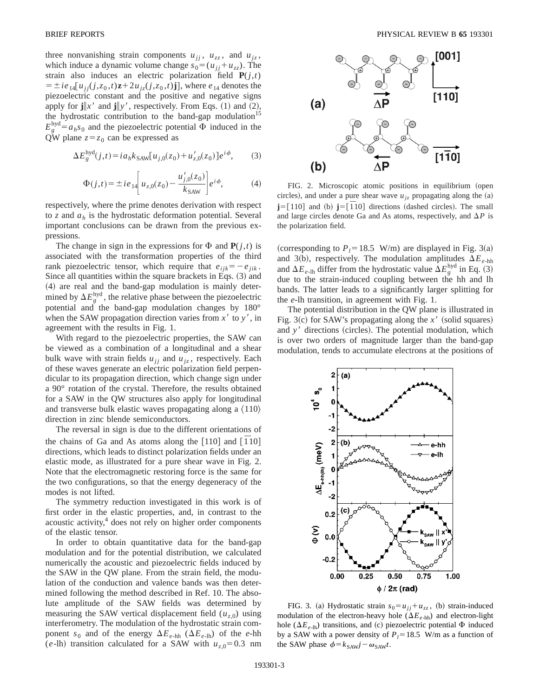three nonvanishing strain components  $u_{jj}$ ,  $u_{zz}$ , and  $u_{jz}$ , which induce a dynamic volume change  $s_0 = (u_{jj} + u_{zz})$ . The strain also induces an electric polarization field  $P(j,t)$  $= \pm ie_{14}[u_{jj}(j, z_0, t)z + 2u_{jz}(j, z_0, t)j],$  where  $e_{14}$  denotes the piezoelectric constant and the positive and negative signs apply for  $\mathbf{j} \| x'$  and  $\mathbf{j} \| y'$ , respectively. From Eqs. (1) and (2), the hydrostatic contribution to the band-gap modulation<sup>15</sup>  $E_g^{\text{hyd}} = a_h s_0$  and the piezoelectric potential  $\Phi$  induced in the QW plane  $z=z_0$  can be expressed as

$$
\Delta E_g^{\text{hyd}}(j,t) = i a_h k_{\text{SAW}} [u_{j,0}(z_0) + u'_{z,0}(z_0)] e^{i \phi},\tag{3}
$$

$$
\Phi(j,t) = \pm i e_{14} \left[ u_{z,0}(z_0) - \frac{u'_{j,0}(z_0)}{k_{\text{SAW}}} \right] e^{i\phi},\tag{4}
$$

respectively, where the prime denotes derivation with respect to *z* and *ah* is the hydrostatic deformation potential. Several important conclusions can be drawn from the previous expressions.

The change in sign in the expressions for  $\Phi$  and  $\mathbf{P}(i,t)$  is associated with the transformation properties of the third rank piezoelectric tensor, which require that  $e_{ijk} = -e_{jik}$ . Since all quantities within the square brackets in Eqs.  $(3)$  and ~4! are real and the band-gap modulation is mainly determined by  $\Delta E_g^{\text{hyd}}$ , the relative phase between the piezoelectric potential and the band-gap modulation changes by 180° when the SAW propagation direction varies from  $x'$  to  $y'$ , in agreement with the results in Fig. 1.

With regard to the piezoelectric properties, the SAW can be viewed as a combination of a longitudinal and a shear bulk wave with strain fields  $u_{ij}$  and  $u_{iz}$ , respectively. Each of these waves generate an electric polarization field perpendicular to its propagation direction, which change sign under a 90° rotation of the crystal. Therefore, the results obtained for a SAW in the QW structures also apply for longitudinal and transverse bulk elastic waves propagating along a  $\langle 110 \rangle$ direction in zinc blende semiconductors.

The reversal in sign is due to the different orientations of the chains of Ga and As atoms along the [110] and [ $\overline{1}10$ ] directions, which leads to distinct polarization fields under an elastic mode, as illustrated for a pure shear wave in Fig. 2. Note that the electromagnetic restoring force is the same for the two configurations, so that the energy degeneracy of the modes is not lifted.

The symmetry reduction investigated in this work is of first order in the elastic properties, and, in contrast to the acoustic activity, $4$  does not rely on higher order components of the elastic tensor.

In order to obtain quantitative data for the band-gap modulation and for the potential distribution, we calculated numerically the acoustic and piezoelectric fields induced by the SAW in the QW plane. From the strain field, the modulation of the conduction and valence bands was then determined following the method described in Ref. 10. The absolute amplitude of the SAW fields was determined by measuring the SAW vertical displacement field  $(u_{z,0})$  using interferometry. The modulation of the hydrostatic strain component  $s_0$  and of the energy  $\Delta E_{e-hh}$  ( $\Delta E_{e-hh}$ ) of the *e*-hh (*e*-lh) transition calculated for a SAW with  $u_{z,0} = 0.3$  nm



FIG. 2. Microscopic atomic positions in equilibrium (open circles), and under a pure shear wave  $u_{iz}$  propagating along the (a) **j**=[110] and (b) **j**=[ $\overline{1}$ 10] directions (dashed circles). The small and large circles denote Ga and As atoms, respectively, and  $\Delta P$  is the polarization field.

(corresponding to  $P_1 = 18.5$  W/m) are displayed in Fig. 3(a) and 3(b), respectively. The modulation amplitudes  $\Delta E_{e-hh}$ and  $\Delta E_{e\text{-lh}}$  differ from the hydrostatic value  $\Delta E_g^{\text{hyd}}$  in Eq. (3) due to the strain-induced coupling between the hh and lh bands. The latter leads to a significantly larger splitting for the *e*-lh transition, in agreement with Fig. 1.

The potential distribution in the QW plane is illustrated in Fig. 3(c) for SAW's propagating along the  $x'$  (solid squares) and *y'* directions (circles). The potential modulation, which is over two orders of magnitude larger than the band-gap modulation, tends to accumulate electrons at the positions of



FIG. 3. (a) Hydrostatic strain  $s_0 = u_{ij} + u_{zz}$ , (b) strain-induced modulation of the electron-heavy hole  $(\Delta E_{e-hh})$  and electron-light hole ( $\Delta E_{e\text{-lh}}$ ) transitions, and (c) piezoelectric potential  $\Phi$  induced by a SAW with a power density of  $P_l$ =18.5 W/m as a function of the SAW phase  $\phi = k_{SAW}j - \omega_{SAW}t$ .